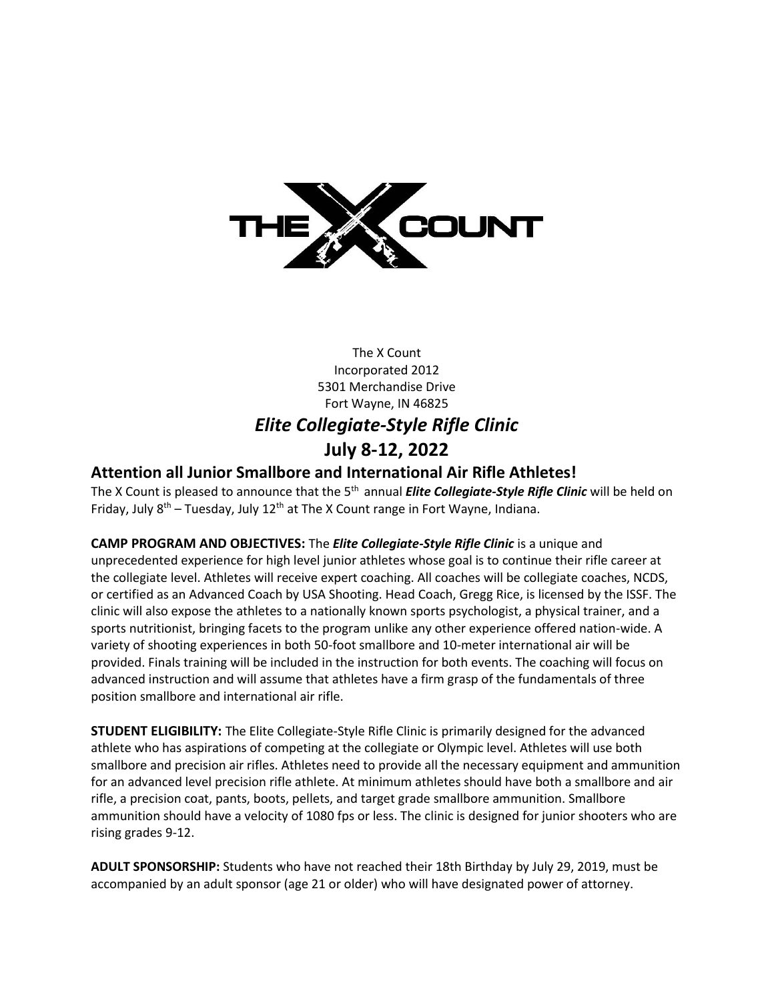

## The X Count Incorporated 2012 5301 Merchandise Drive Fort Wayne, IN 46825 *Elite Collegiate-Style Rifle Clinic* **July 8-12, 2022**

## **Attention all Junior Smallbore and International Air Rifle Athletes!**

The X Count is pleased to announce that the 5<sup>th</sup> annual *Elite Collegiate-Style Rifle Clinic* will be held on Friday, July  $8<sup>th</sup>$  – Tuesday, July 12<sup>th</sup> at The X Count range in Fort Wayne, Indiana.

**CAMP PROGRAM AND OBJECTIVES:** The *Elite Collegiate-Style Rifle Clinic* is a unique and unprecedented experience for high level junior athletes whose goal is to continue their rifle career at the collegiate level. Athletes will receive expert coaching. All coaches will be collegiate coaches, NCDS, or certified as an Advanced Coach by USA Shooting. Head Coach, Gregg Rice, is licensed by the ISSF. The clinic will also expose the athletes to a nationally known sports psychologist, a physical trainer, and a sports nutritionist, bringing facets to the program unlike any other experience offered nation-wide. A variety of shooting experiences in both 50-foot smallbore and 10-meter international air will be provided. Finals training will be included in the instruction for both events. The coaching will focus on advanced instruction and will assume that athletes have a firm grasp of the fundamentals of three position smallbore and international air rifle.

**STUDENT ELIGIBILITY:** The Elite Collegiate-Style Rifle Clinic is primarily designed for the advanced athlete who has aspirations of competing at the collegiate or Olympic level. Athletes will use both smallbore and precision air rifles. Athletes need to provide all the necessary equipment and ammunition for an advanced level precision rifle athlete. At minimum athletes should have both a smallbore and air rifle, a precision coat, pants, boots, pellets, and target grade smallbore ammunition. Smallbore ammunition should have a velocity of 1080 fps or less. The clinic is designed for junior shooters who are rising grades 9-12.

**ADULT SPONSORSHIP:** Students who have not reached their 18th Birthday by July 29, 2019, must be accompanied by an adult sponsor (age 21 or older) who will have designated power of attorney.